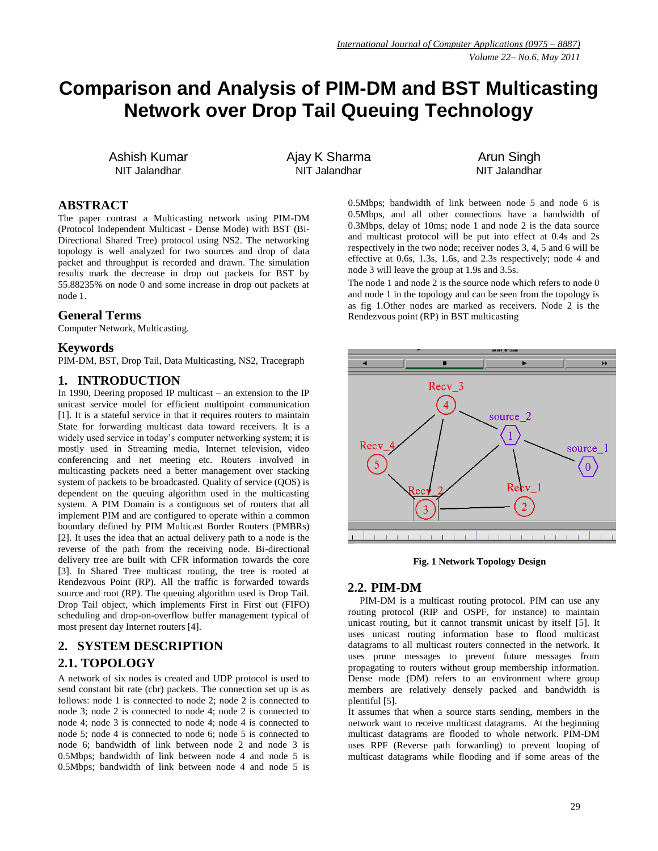# **Comparison and Analysis of PIM-DM and BST Multicasting Network over Drop Tail Queuing Technology**

Ashish Kumar NIT Jalandhar

Ajay K Sharma NIT Jalandhar

Arun Singh NIT Jalandhar

#### **ABSTRACT**

The paper contrast a Multicasting network using PIM-DM (Protocol Independent Multicast - Dense Mode) with BST (Bi-Directional Shared Tree) protocol using NS2. The networking topology is well analyzed for two sources and drop of data packet and throughput is recorded and drawn. The simulation results mark the decrease in drop out packets for BST by 55.88235% on node 0 and some increase in drop out packets at node 1.

#### **General Terms**

Computer Network, Multicasting.

#### **Keywords**

PIM-DM, BST, Drop Tail, Data Multicasting, NS2, Tracegraph

#### **1. INTRODUCTION**

In 1990, Deering proposed IP multicast – an extension to the IP unicast service model for efficient multipoint communication [1]. It is a stateful service in that it requires routers to maintain State for forwarding multicast data toward receivers. It is a widely used service in today's computer networking system; it is mostly used in Streaming media, Internet television, video conferencing and net meeting etc. Routers involved in multicasting packets need a better management over stacking system of packets to be broadcasted. Quality of service (QOS) is dependent on the queuing algorithm used in the multicasting system. A PIM Domain is a contiguous set of routers that all implement PIM and are configured to operate within a common boundary defined by PIM Multicast Border Routers (PMBRs) [2]. It uses the idea that an actual delivery path to a node is the reverse of the path from the receiving node. Bi-directional delivery tree are built with CFR information towards the core [3]. In Shared Tree multicast routing, the tree is rooted at Rendezvous Point (RP). All the traffic is forwarded towards source and root (RP). The queuing algorithm used is Drop Tail. Drop Tail object, which implements First in First out (FIFO) scheduling and drop-on-overflow buffer management typical of most present day Internet routers [4].

# **2. SYSTEM DESCRIPTION 2.1. TOPOLOGY**

A network of six nodes is created and UDP protocol is used to send constant bit rate (cbr) packets. The connection set up is as follows: node 1 is connected to node 2; node 2 is connected to node 3; node 2 is connected to node 4; node 2 is connected to node 4; node 3 is connected to node 4; node 4 is connected to node 5; node 4 is connected to node 6; node 5 is connected to node 6; bandwidth of link between node 2 and node 3 is 0.5Mbps; bandwidth of link between node 4 and node 5 is 0.5Mbps; bandwidth of link between node 4 and node 5 is 0.5Mbps; bandwidth of link between node 5 and node 6 is 0.5Mbps, and all other connections have a bandwidth of 0.3Mbps, delay of 10ms; node 1 and node 2 is the data source and multicast protocol will be put into effect at 0.4s and 2s respectively in the two node; receiver nodes 3, 4, 5 and 6 will be effective at 0.6s, 1.3s, 1.6s, and 2.3s respectively; node 4 and node 3 will leave the group at 1.9s and 3.5s.

The node 1 and node 2 is the source node which refers to node 0 and node 1 in the topology and can be seen from the topology is as fig 1.Other nodes are marked as receivers. Node 2 is the Rendezvous point (RP) in BST multicasting



**Fig. 1 Network Topology Design**

#### **2.2. PIM-DM**

PIM-DM is a multicast routing protocol. PIM can use any routing protocol (RIP and OSPF, for instance) to maintain unicast routing, but it cannot transmit unicast by itself [5]. It uses unicast routing information base to flood multicast datagrams to all multicast routers connected in the network. It uses prune messages to prevent future messages from propagating to routers without group membership information. Dense mode (DM) refers to an environment where group members are relatively densely packed and bandwidth is plentiful [5].

It assumes that when a source starts sending, members in the network want to receive multicast datagrams. At the beginning multicast datagrams are flooded to whole network. PIM-DM uses RPF (Reverse path forwarding) to prevent looping of multicast datagrams while flooding and if some areas of the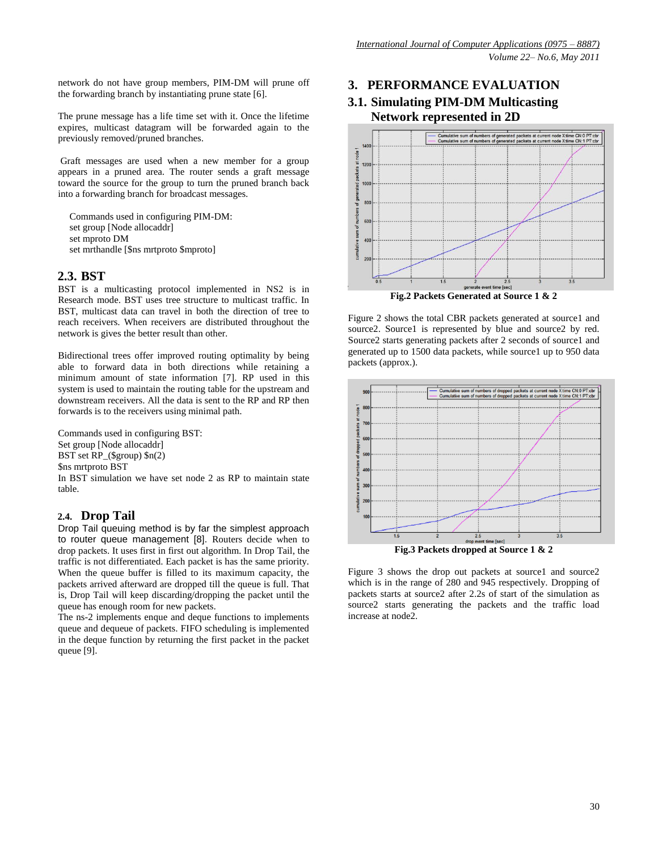network do not have group members, PIM-DM will prune off the forwarding branch by instantiating prune state [6].

The prune message has a life time set with it. Once the lifetime expires, multicast datagram will be forwarded again to the previously removed/pruned branches.

Graft messages are used when a new member for a group appears in a pruned area. The router sends a graft message toward the source for the group to turn the pruned branch back into a forwarding branch for broadcast messages.

Commands used in configuring PIM-DM: set group [Node allocaddr] set mproto DM set mrthandle [\$ns mrtproto \$mproto]

### **2.3. BST**

BST is a multicasting protocol implemented in NS2 is in Research mode. BST uses tree structure to multicast traffic. In BST, multicast data can travel in both the direction of tree to reach receivers. When receivers are distributed throughout the network is gives the better result than other.

Bidirectional trees offer improved routing optimality by being able to forward data in both directions while retaining a minimum amount of state information [7]. RP used in this system is used to maintain the routing table for the upstream and downstream receivers. All the data is sent to the RP and RP then forwards is to the receivers using minimal path.

Commands used in configuring BST: Set group [Node allocaddr] BST set RP\_(\$group) \$n(2) \$ns mrtproto BST In BST simulation we have set node 2 as RP to maintain state table.

### **2.4. Drop Tail**

Drop Tail queuing method is by far the simplest approach to router queue management [8]. Routers decide when to drop packets. It uses first in first out algorithm. In Drop Tail, the traffic is not differentiated. Each packet is has the same priority. When the queue buffer is filled to its maximum capacity, the packets arrived afterward are dropped till the queue is full. That is, Drop Tail will keep discarding/dropping the packet until the queue has enough room for new packets.

The ns-2 implements enque and deque functions to implements queue and dequeue of packets. FIFO scheduling is implemented in the deque function by returning the first packet in the packet queue [9].

# **3. PERFORMANCE EVALUATION**

### **3.1. Simulating PIM-DM Multicasting Network represented in 2D**



**Fig.2 Packets Generated at Source 1 & 2**

Figure 2 shows the total CBR packets generated at source1 and source2. Source1 is represented by blue and source2 by red. Source2 starts generating packets after 2 seconds of source1 and generated up to 1500 data packets, while source1 up to 950 data packets (approx.).



**Fig.3 Packets dropped at Source 1 & 2**

Figure 3 shows the drop out packets at source1 and source2 which is in the range of 280 and 945 respectively. Dropping of packets starts at source2 after 2.2s of start of the simulation as source2 starts generating the packets and the traffic load increase at node2.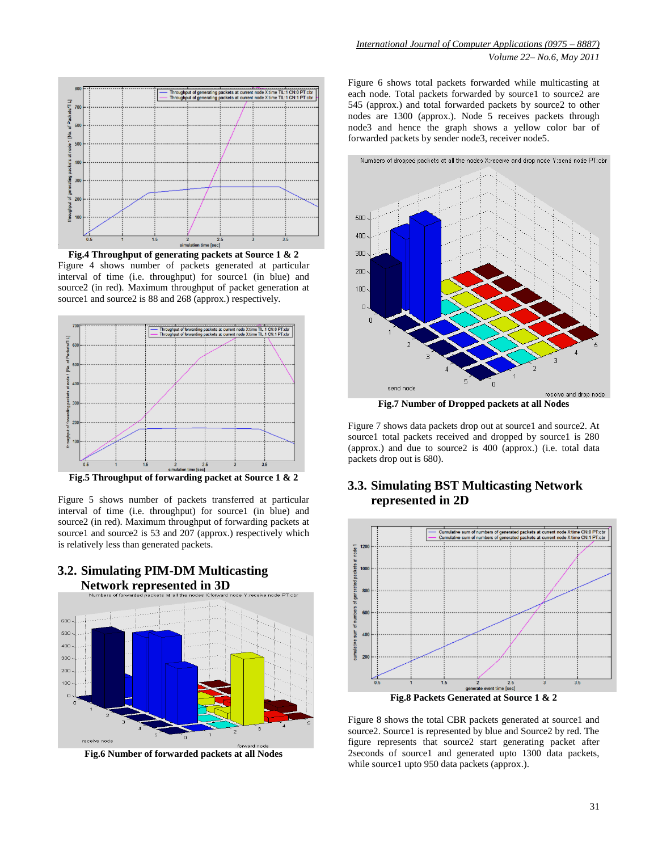

**Fig.4 Throughput of generating packets at Source 1 & 2** Figure 4 shows number of packets generated at particular interval of time (i.e. throughput) for source1 (in blue) and source2 (in red). Maximum throughput of packet generation at source1 and source2 is 88 and 268 (approx.) respectively.



**Fig.5 Throughput of forwarding packet at Source 1 & 2**

Figure 5 shows number of packets transferred at particular interval of time (i.e. throughput) for source1 (in blue) and source2 (in red). Maximum throughput of forwarding packets at source1 and source2 is 53 and 207 (approx.) respectively which is relatively less than generated packets.

**3.2. Simulating PIM-DM Multicasting** 



**Fig.6 Number of forwarded packets at all Nodes**

Figure 6 shows total packets forwarded while multicasting at each node. Total packets forwarded by source1 to source2 are 545 (approx.) and total forwarded packets by source2 to other nodes are 1300 (approx.). Node 5 receives packets through node3 and hence the graph shows a yellow color bar of forwarded packets by sender node3, receiver node5.



**Fig.7 Number of Dropped packets at all Nodes**

Figure 7 shows data packets drop out at source1 and source2. At source1 total packets received and dropped by source1 is 280 (approx.) and due to source2 is 400 (approx.) (i.e. total data packets drop out is 680).

#### **3.3. Simulating BST Multicasting Network represented in 2D**



Figure 8 shows the total CBR packets generated at source1 and source2. Source1 is represented by blue and Source2 by red. The figure represents that source2 start generating packet after 2seconds of source1 and generated upto 1300 data packets, while source1 upto 950 data packets (approx.).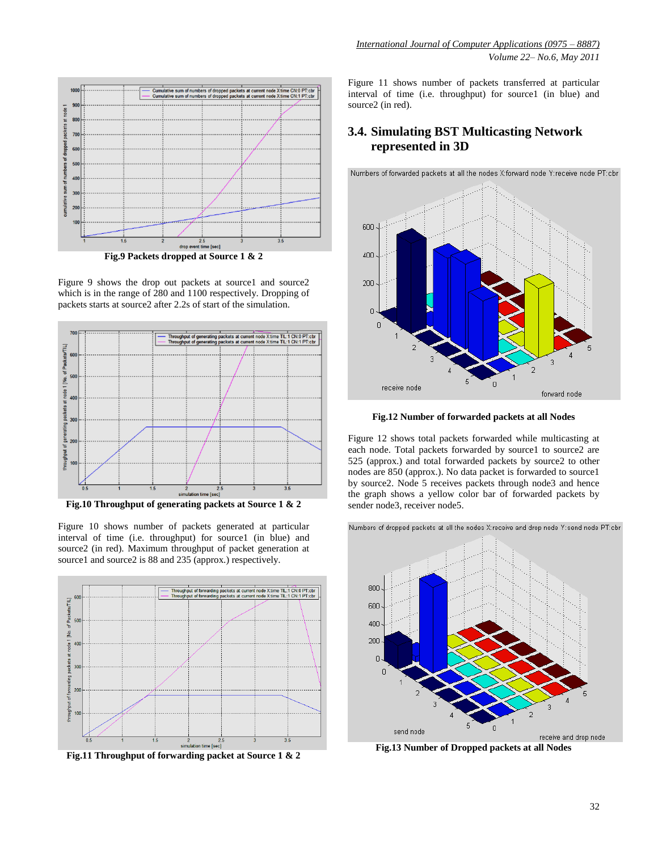

**Fig.9 Packets dropped at Source 1 & 2**

Figure 9 shows the drop out packets at source1 and source2 which is in the range of 280 and 1100 respectively. Dropping of packets starts at source2 after 2.2s of start of the simulation.



**Fig.10 Throughput of generating packets at Source 1 & 2**

Figure 10 shows number of packets generated at particular interval of time (i.e. throughput) for source1 (in blue) and source2 (in red). Maximum throughput of packet generation at source1 and source2 is 88 and 235 (approx.) respectively.



**Fig.11 Throughput of forwarding packet at Source 1 & 2**

Figure 11 shows number of packets transferred at particular interval of time (i.e. throughput) for source1 (in blue) and source2 (in red).

# **3.4. Simulating BST Multicasting Network represented in 3D**

Numbers of forwarded packets at all the nodes X:forward node Y:receive node PT:cbr



**Fig.12 Number of forwarded packets at all Nodes**

Figure 12 shows total packets forwarded while multicasting at each node. Total packets forwarded by source1 to source2 are 525 (approx.) and total forwarded packets by source2 to other nodes are 850 (approx.). No data packet is forwarded to source1 by source2. Node 5 receives packets through node3 and hence the graph shows a yellow color bar of forwarded packets by sender node3, receiver node5.

Numbers of dropped packets at all the nodes X:receive and drop node Y:send node PT:cbr 800 600 400 200 Ō

**Fig.13 Number of Dropped packets at all Nodes**

send node

 $\Omega$ 

receive and drop node